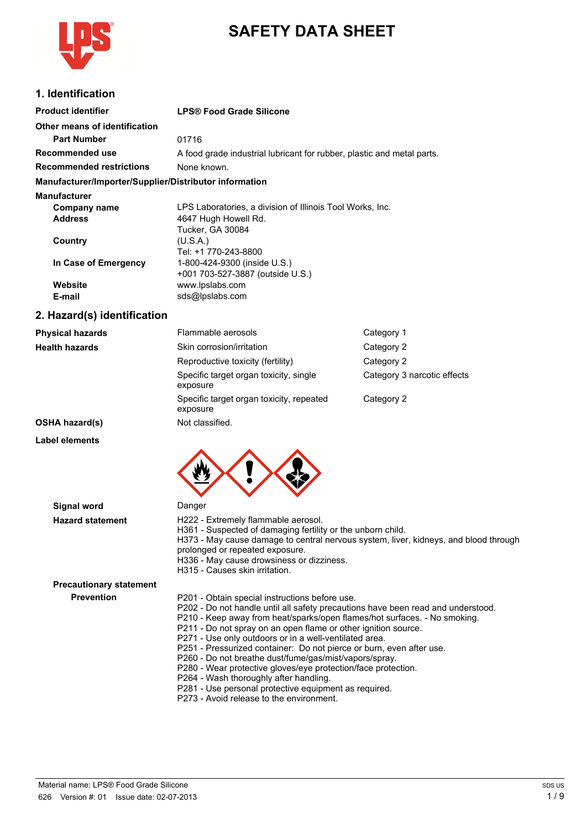

# **SAFETY DATA SHEET**

## **1. Identification**

| <b>Product identifier</b>                              | <b>LPS® Food Grade Silicone</b>                                        |
|--------------------------------------------------------|------------------------------------------------------------------------|
| Other means of identification                          |                                                                        |
| <b>Part Number</b>                                     | 01716                                                                  |
| Recommended use                                        | A food grade industrial lubricant for rubber, plastic and metal parts. |
| <b>Recommended restrictions</b>                        | None known.                                                            |
| Manufacturer/Importer/Supplier/Distributor information |                                                                        |
| <b>Manufacturer</b>                                    |                                                                        |
| Company name                                           | LPS Laboratories, a division of Illinois Tool Works, Inc.              |
| <b>Address</b>                                         | 4647 Hugh Howell Rd.                                                   |
|                                                        | Tucker, GA 30084                                                       |
| Country                                                | (U.S.A.)                                                               |
|                                                        | Tel: +1 770-243-8800                                                   |
| In Case of Emergency                                   | 1-800-424-9300 (inside U.S.)                                           |
|                                                        | +001 703-527-3887 (outside U.S.)                                       |
| Website                                                | www.lpslabs.com                                                        |
| E-mail                                                 | sds@lpslabs.com                                                        |
| 2. Hazard(s) identification                            |                                                                        |

### **Physical hazards** Flammable aerosols Category 1 **Health hazards** Skin corrosion/irritation Category 2 Reproductive toxicity (fertility) Category 2 Specific target organ toxicity, single Category 3 narcotic effects exposure Specific target organ toxicity, repeated Category 2 exposure **OSHA hazard(s)** Not classified.

**Label elements**



| <b>Signal word</b>             | Danger                                                                                                                                                                                                                                                                                                                                                                                                                                                                                                                                                                                                                                                                                        |
|--------------------------------|-----------------------------------------------------------------------------------------------------------------------------------------------------------------------------------------------------------------------------------------------------------------------------------------------------------------------------------------------------------------------------------------------------------------------------------------------------------------------------------------------------------------------------------------------------------------------------------------------------------------------------------------------------------------------------------------------|
| <b>Hazard statement</b>        | H222 - Extremely flammable aerosol.<br>H361 - Suspected of damaging fertility or the unborn child.<br>H373 - May cause damage to central nervous system, liver, kidneys, and blood through<br>prolonged or repeated exposure.<br>H336 - May cause drowsiness or dizziness.<br>H315 - Causes skin irritation.                                                                                                                                                                                                                                                                                                                                                                                  |
| <b>Precautionary statement</b> |                                                                                                                                                                                                                                                                                                                                                                                                                                                                                                                                                                                                                                                                                               |
| <b>Prevention</b>              | P201 - Obtain special instructions before use.<br>P202 - Do not handle until all safety precautions have been read and understood.<br>P210 - Keep away from heat/sparks/open flames/hot surfaces. - No smoking.<br>P211 - Do not spray on an open flame or other ignition source.<br>P271 - Use only outdoors or in a well-ventilated area.<br>P251 - Pressurized container: Do not pierce or burn, even after use.<br>P260 - Do not breathe dust/fume/gas/mist/vapors/spray.<br>P280 - Wear protective gloves/eye protection/face protection.<br>P264 - Wash thoroughly after handling.<br>P281 - Use personal protective equipment as required.<br>P273 - Avoid release to the environment. |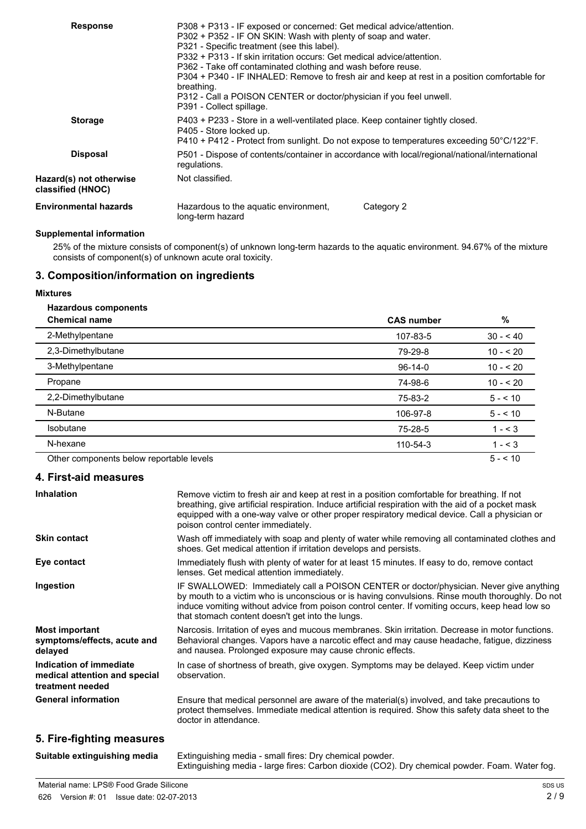| <b>Response</b>                              | P308 + P313 - IF exposed or concerned: Get medical advice/attention.<br>P302 + P352 - IF ON SKIN: Wash with plenty of soap and water.<br>P321 - Specific treatment (see this label).<br>P332 + P313 - If skin irritation occurs: Get medical advice/attention.<br>P362 - Take off contaminated clothing and wash before reuse.<br>P304 + P340 - IF INHALED: Remove to fresh air and keep at rest in a position comfortable for<br>breathing.<br>P312 - Call a POISON CENTER or doctor/physician if you feel unwell.<br>P391 - Collect spillage. |  |
|----------------------------------------------|-------------------------------------------------------------------------------------------------------------------------------------------------------------------------------------------------------------------------------------------------------------------------------------------------------------------------------------------------------------------------------------------------------------------------------------------------------------------------------------------------------------------------------------------------|--|
| <b>Storage</b>                               | P403 + P233 - Store in a well-ventilated place. Keep container tightly closed.<br>P405 - Store locked up.<br>$P410 + P412$ - Protect from sunlight. Do not expose to temperatures exceeding 50 $^{\circ}$ C/122 $^{\circ}$ F.                                                                                                                                                                                                                                                                                                                   |  |
| <b>Disposal</b>                              | P501 - Dispose of contents/container in accordance with local/regional/national/international<br>regulations.                                                                                                                                                                                                                                                                                                                                                                                                                                   |  |
| Hazard(s) not otherwise<br>classified (HNOC) | Not classified.                                                                                                                                                                                                                                                                                                                                                                                                                                                                                                                                 |  |
| <b>Environmental hazards</b>                 | Hazardous to the aquatic environment,<br>Category 2<br>long-term hazard                                                                                                                                                                                                                                                                                                                                                                                                                                                                         |  |

## **Supplemental information**

25% of the mixture consists of component(s) of unknown long-term hazards to the aquatic environment. 94.67% of the mixture consists of component(s) of unknown acute oral toxicity.

## **3. Composition/information on ingredients**

#### **Mixtures**

### **Hazardous components**

| <b>Chemical name</b>                     | <b>CAS number</b> | $\%$      |
|------------------------------------------|-------------------|-----------|
| 2-Methylpentane                          | 107-83-5          | $30 - 40$ |
| 2,3-Dimethylbutane                       | 79-29-8           | $10 - 20$ |
| 3-Methylpentane                          | $96-14-0$         | $10 - 20$ |
| Propane                                  | 74-98-6           | $10 - 20$ |
| 2,2-Dimethylbutane                       | 75-83-2           | $5 - 10$  |
| N-Butane                                 | 106-97-8          | $5 - 10$  |
| <b>Isobutane</b>                         | 75-28-5           | $1 - 3$   |
| N-hexane                                 | 110-54-3          | $1 - 3$   |
| Other components below reportable levels |                   | $5 - 10$  |

#### **4. First-aid measures**

| <b>Inhalation</b>                                                            | Remove victim to fresh air and keep at rest in a position comfortable for breathing. If not<br>breathing, give artificial respiration. Induce artificial respiration with the aid of a pocket mask<br>equipped with a one-way valve or other proper respiratory medical device. Call a physician or<br>poison control center immediately.          |
|------------------------------------------------------------------------------|----------------------------------------------------------------------------------------------------------------------------------------------------------------------------------------------------------------------------------------------------------------------------------------------------------------------------------------------------|
| <b>Skin contact</b>                                                          | Wash off immediately with soap and plenty of water while removing all contaminated clothes and<br>shoes. Get medical attention if irritation develops and persists.                                                                                                                                                                                |
| Eye contact                                                                  | Immediately flush with plenty of water for at least 15 minutes. If easy to do, remove contact<br>lenses. Get medical attention immediately.                                                                                                                                                                                                        |
| Ingestion                                                                    | IF SWALLOWED: Immediately call a POISON CENTER or doctor/physician. Never give anything<br>by mouth to a victim who is unconscious or is having convulsions. Rinse mouth thoroughly. Do not<br>induce vomiting without advice from poison control center. If vomiting occurs, keep head low so<br>that stomach content doesn't get into the lungs. |
| <b>Most important</b><br>symptoms/effects, acute and<br>delayed              | Narcosis. Irritation of eyes and mucous membranes. Skin irritation. Decrease in motor functions.<br>Behavioral changes. Vapors have a narcotic effect and may cause headache, fatigue, dizziness<br>and nausea. Prolonged exposure may cause chronic effects.                                                                                      |
| Indication of immediate<br>medical attention and special<br>treatment needed | In case of shortness of breath, give oxygen. Symptoms may be delayed. Keep victim under<br>observation.                                                                                                                                                                                                                                            |
| <b>General information</b>                                                   | Ensure that medical personnel are aware of the material(s) involved, and take precautions to<br>protect themselves. Immediate medical attention is required. Show this safety data sheet to the<br>doctor in attendance.                                                                                                                           |

## **5. Fire-fighting measures**

| Suitable extinguishing media | Extinguishing media - small fires: Dry chemical powder.                                        |
|------------------------------|------------------------------------------------------------------------------------------------|
|                              | Extinguishing media - large fires: Carbon dioxide (CO2). Dry chemical powder. Foam. Water fog. |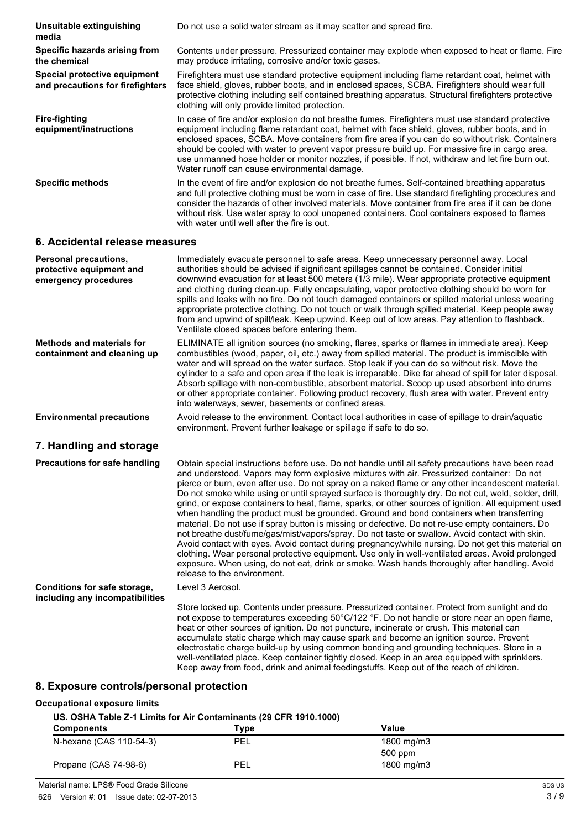| Unsuitable extinguishing<br>media                                | Do not use a solid water stream as it may scatter and spread fire.                                                                                                                                                                                                                                                                                                                                                                                                                                                                                             |
|------------------------------------------------------------------|----------------------------------------------------------------------------------------------------------------------------------------------------------------------------------------------------------------------------------------------------------------------------------------------------------------------------------------------------------------------------------------------------------------------------------------------------------------------------------------------------------------------------------------------------------------|
| Specific hazards arising from<br>the chemical                    | Contents under pressure. Pressurized container may explode when exposed to heat or flame. Fire<br>may produce irritating, corrosive and/or toxic gases.                                                                                                                                                                                                                                                                                                                                                                                                        |
| Special protective equipment<br>and precautions for firefighters | Firefighters must use standard protective equipment including flame retardant coat, helmet with<br>face shield, gloves, rubber boots, and in enclosed spaces, SCBA. Firefighters should wear full<br>protective clothing including self contained breathing apparatus. Structural firefighters protective<br>clothing will only provide limited protection.                                                                                                                                                                                                    |
| <b>Fire-fighting</b><br>equipment/instructions                   | In case of fire and/or explosion do not breathe fumes. Firefighters must use standard protective<br>equipment including flame retardant coat, helmet with face shield, gloves, rubber boots, and in<br>enclosed spaces, SCBA. Move containers from fire area if you can do so without risk. Containers<br>should be cooled with water to prevent vapor pressure build up. For massive fire in cargo area,<br>use unmanned hose holder or monitor nozzles, if possible. If not, withdraw and let fire burn out.<br>Water runoff can cause environmental damage. |
| <b>Specific methods</b>                                          | In the event of fire and/or explosion do not breathe fumes. Self-contained breathing apparatus<br>and full protective clothing must be worn in case of fire. Use standard firefighting procedures and<br>consider the hazards of other involved materials. Move container from fire area if it can be done<br>without risk. Use water spray to cool unopened containers. Cool containers exposed to flames<br>with water until well after the fire is out.                                                                                                     |
|                                                                  |                                                                                                                                                                                                                                                                                                                                                                                                                                                                                                                                                                |

#### **6. Accidental release measures**

| Personal precautions,<br>protective equipment and<br>emergency procedures | Immediately evacuate personnel to safe areas. Keep unnecessary personnel away. Local<br>authorities should be advised if significant spillages cannot be contained. Consider initial<br>downwind evacuation for at least 500 meters (1/3 mile). Wear appropriate protective equipment<br>and clothing during clean-up. Fully encapsulating, vapor protective clothing should be worn for<br>spills and leaks with no fire. Do not touch damaged containers or spilled material unless wearing<br>appropriate protective clothing. Do not touch or walk through spilled material. Keep people away<br>from and upwind of spill/leak. Keep upwind. Keep out of low areas. Pay attention to flashback.<br>Ventilate closed spaces before entering them.                                                                                                                                                                                                                                                                                                                                                                                                              |
|---------------------------------------------------------------------------|-------------------------------------------------------------------------------------------------------------------------------------------------------------------------------------------------------------------------------------------------------------------------------------------------------------------------------------------------------------------------------------------------------------------------------------------------------------------------------------------------------------------------------------------------------------------------------------------------------------------------------------------------------------------------------------------------------------------------------------------------------------------------------------------------------------------------------------------------------------------------------------------------------------------------------------------------------------------------------------------------------------------------------------------------------------------------------------------------------------------------------------------------------------------|
| <b>Methods and materials for</b><br>containment and cleaning up           | ELIMINATE all ignition sources (no smoking, flares, sparks or flames in immediate area). Keep<br>combustibles (wood, paper, oil, etc.) away from spilled material. The product is immiscible with<br>water and will spread on the water surface. Stop leak if you can do so without risk. Move the<br>cylinder to a safe and open area if the leak is irreparable. Dike far ahead of spill for later disposal.<br>Absorb spillage with non-combustible, absorbent material. Scoop up used absorbent into drums<br>or other appropriate container. Following product recovery, flush area with water. Prevent entry<br>into waterways, sewer, basements or confined areas.                                                                                                                                                                                                                                                                                                                                                                                                                                                                                         |
| <b>Environmental precautions</b>                                          | Avoid release to the environment. Contact local authorities in case of spillage to drain/aquatic<br>environment. Prevent further leakage or spillage if safe to do so.                                                                                                                                                                                                                                                                                                                                                                                                                                                                                                                                                                                                                                                                                                                                                                                                                                                                                                                                                                                            |
| 7. Handling and storage                                                   |                                                                                                                                                                                                                                                                                                                                                                                                                                                                                                                                                                                                                                                                                                                                                                                                                                                                                                                                                                                                                                                                                                                                                                   |
| <b>Precautions for safe handling</b>                                      | Obtain special instructions before use. Do not handle until all safety precautions have been read<br>and understood. Vapors may form explosive mixtures with air. Pressurized container: Do not<br>pierce or burn, even after use. Do not spray on a naked flame or any other incandescent material.<br>Do not smoke while using or until sprayed surface is thoroughly dry. Do not cut, weld, solder, drill,<br>grind, or expose containers to heat, flame, sparks, or other sources of ignition. All equipment used<br>when handling the product must be grounded. Ground and bond containers when transferring<br>material. Do not use if spray button is missing or defective. Do not re-use empty containers. Do<br>not breathe dust/fume/gas/mist/vapors/spray. Do not taste or swallow. Avoid contact with skin.<br>Avoid contact with eyes. Avoid contact during pregnancy/while nursing. Do not get this material on<br>clothing. Wear personal protective equipment. Use only in well-ventilated areas. Avoid prolonged<br>exposure. When using, do not eat, drink or smoke. Wash hands thoroughly after handling. Avoid<br>release to the environment. |
| Conditions for safe storage,                                              | Level 3 Aerosol.                                                                                                                                                                                                                                                                                                                                                                                                                                                                                                                                                                                                                                                                                                                                                                                                                                                                                                                                                                                                                                                                                                                                                  |
| including any incompatibilities                                           | Store locked up. Contents under pressure. Pressurized container. Protect from sunlight and do<br>not expose to temperatures exceeding 50°C/122 °F. Do not handle or store near an open flame,<br>heat or other sources of ignition. Do not puncture, incinerate or crush. This material can<br>accumulate static charge which may cause spark and become an ignition source. Prevent<br>electrostatic charge build-up by using common bonding and grounding techniques. Store in a<br>well-ventilated place. Keep container tightly closed. Keep in an area equipped with sprinklers.<br>Keep away from food, drink and animal feedingstuffs. Keep out of the reach of children.                                                                                                                                                                                                                                                                                                                                                                                                                                                                                  |

## **8. Exposure controls/personal protection**

#### **Occupational exposure limits**

#### **US. OSHA Table Z-1 Limits for Air Contaminants (29 CFR 1910.1000)**

| <b>Components</b>       | Type | Value      |  |
|-------------------------|------|------------|--|
| N-hexane (CAS 110-54-3) | PEL  | 1800 mg/m3 |  |
|                         |      | 500 ppm    |  |
| Propane (CAS 74-98-6)   | PEL  | 1800 mg/m3 |  |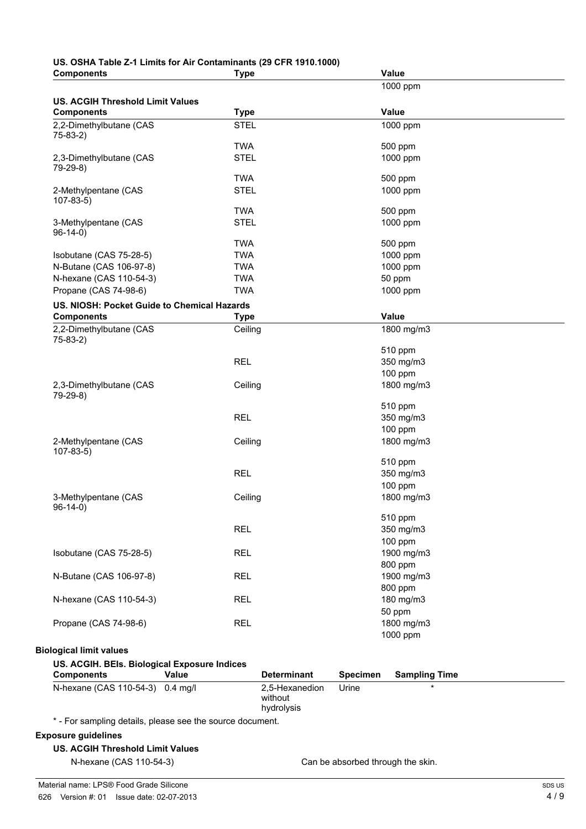#### **US. OSHA Table Z-1 Limits for Air Contaminants (29 CFR 1910.1000) Components Type Value**

| 1000 ppm<br>Value<br>1000 ppm<br>500 ppm<br>1000 ppm<br>500 ppm<br>1000 ppm<br>500 ppm<br>1000 ppm<br>500 ppm<br>1000 ppm<br>1000 ppm<br>50 ppm<br>1000 ppm<br>Value<br>1800 mg/m3<br>510 ppm<br>350 mg/m3<br>100 ppm<br>1800 mg/m3<br>510 ppm<br>350 mg/m3<br>100 ppm |
|------------------------------------------------------------------------------------------------------------------------------------------------------------------------------------------------------------------------------------------------------------------------|
|                                                                                                                                                                                                                                                                        |
|                                                                                                                                                                                                                                                                        |
|                                                                                                                                                                                                                                                                        |
|                                                                                                                                                                                                                                                                        |
|                                                                                                                                                                                                                                                                        |
|                                                                                                                                                                                                                                                                        |
|                                                                                                                                                                                                                                                                        |
|                                                                                                                                                                                                                                                                        |
|                                                                                                                                                                                                                                                                        |
|                                                                                                                                                                                                                                                                        |
|                                                                                                                                                                                                                                                                        |
|                                                                                                                                                                                                                                                                        |
|                                                                                                                                                                                                                                                                        |
|                                                                                                                                                                                                                                                                        |
|                                                                                                                                                                                                                                                                        |
|                                                                                                                                                                                                                                                                        |
|                                                                                                                                                                                                                                                                        |
|                                                                                                                                                                                                                                                                        |
|                                                                                                                                                                                                                                                                        |
|                                                                                                                                                                                                                                                                        |
|                                                                                                                                                                                                                                                                        |
|                                                                                                                                                                                                                                                                        |
|                                                                                                                                                                                                                                                                        |
|                                                                                                                                                                                                                                                                        |
|                                                                                                                                                                                                                                                                        |
|                                                                                                                                                                                                                                                                        |
|                                                                                                                                                                                                                                                                        |
|                                                                                                                                                                                                                                                                        |
|                                                                                                                                                                                                                                                                        |
|                                                                                                                                                                                                                                                                        |
|                                                                                                                                                                                                                                                                        |
|                                                                                                                                                                                                                                                                        |
|                                                                                                                                                                                                                                                                        |
| 1800 mg/m3                                                                                                                                                                                                                                                             |
| 510 ppm                                                                                                                                                                                                                                                                |
| 350 mg/m3                                                                                                                                                                                                                                                              |
|                                                                                                                                                                                                                                                                        |
| 100 ppm                                                                                                                                                                                                                                                                |
| 1800 mg/m3                                                                                                                                                                                                                                                             |
|                                                                                                                                                                                                                                                                        |
| 510 ppm                                                                                                                                                                                                                                                                |
| 350 mg/m3                                                                                                                                                                                                                                                              |
| 100 ppm                                                                                                                                                                                                                                                                |
| 1900 mg/m3                                                                                                                                                                                                                                                             |
| 800 ppm                                                                                                                                                                                                                                                                |
| 1900 mg/m3                                                                                                                                                                                                                                                             |
| 800 ppm                                                                                                                                                                                                                                                                |
| 180 mg/m3                                                                                                                                                                                                                                                              |
| 50 ppm                                                                                                                                                                                                                                                                 |
| 1800 mg/m3                                                                                                                                                                                                                                                             |
| 1000 ppm                                                                                                                                                                                                                                                               |
|                                                                                                                                                                                                                                                                        |
|                                                                                                                                                                                                                                                                        |
|                                                                                                                                                                                                                                                                        |
| <b>Specimen</b><br><b>Sampling Time</b>                                                                                                                                                                                                                                |
| Urine                                                                                                                                                                                                                                                                  |
|                                                                                                                                                                                                                                                                        |
|                                                                                                                                                                                                                                                                        |
|                                                                                                                                                                                                                                                                        |
|                                                                                                                                                                                                                                                                        |
|                                                                                                                                                                                                                                                                        |
|                                                                                                                                                                                                                                                                        |
|                                                                                                                                                                                                                                                                        |
|                                                                                                                                                                                                                                                                        |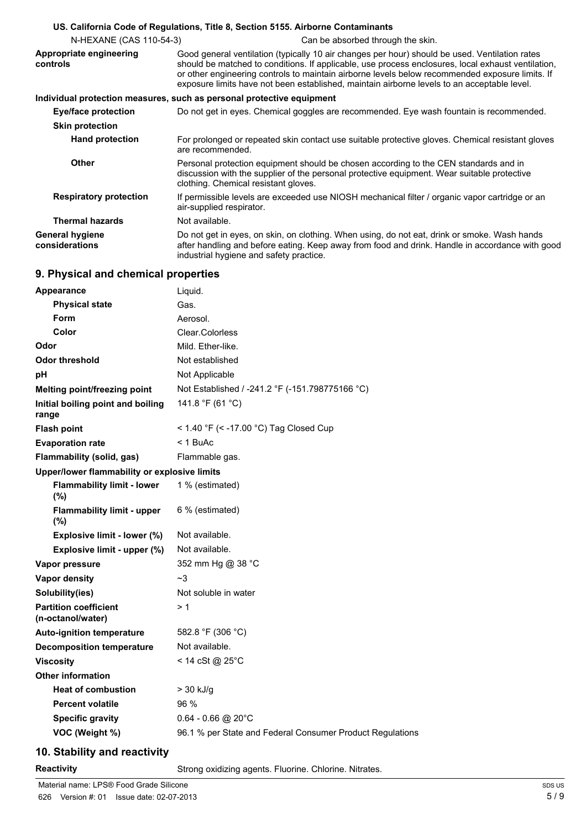|                                          | US. California Code of Regulations, Title 8, Section 5155. Airborne Contaminants                                                                                                                                                                                                                                                                                                                       |
|------------------------------------------|--------------------------------------------------------------------------------------------------------------------------------------------------------------------------------------------------------------------------------------------------------------------------------------------------------------------------------------------------------------------------------------------------------|
| N-HEXANE (CAS 110-54-3)                  | Can be absorbed through the skin.                                                                                                                                                                                                                                                                                                                                                                      |
| Appropriate engineering<br>controls      | Good general ventilation (typically 10 air changes per hour) should be used. Ventilation rates<br>should be matched to conditions. If applicable, use process enclosures, local exhaust ventilation,<br>or other engineering controls to maintain airborne levels below recommended exposure limits. If<br>exposure limits have not been established, maintain airborne levels to an acceptable level. |
|                                          | Individual protection measures, such as personal protective equipment                                                                                                                                                                                                                                                                                                                                  |
| Eye/face protection                      | Do not get in eyes. Chemical goggles are recommended. Eye wash fountain is recommended.                                                                                                                                                                                                                                                                                                                |
| <b>Skin protection</b>                   |                                                                                                                                                                                                                                                                                                                                                                                                        |
| <b>Hand protection</b>                   | For prolonged or repeated skin contact use suitable protective gloves. Chemical resistant gloves<br>are recommended.                                                                                                                                                                                                                                                                                   |
| <b>Other</b>                             | Personal protection equipment should be chosen according to the CEN standards and in<br>discussion with the supplier of the personal protective equipment. Wear suitable protective<br>clothing. Chemical resistant gloves.                                                                                                                                                                            |
| <b>Respiratory protection</b>            | If permissible levels are exceeded use NIOSH mechanical filter / organic vapor cartridge or an<br>air-supplied respirator.                                                                                                                                                                                                                                                                             |
| <b>Thermal hazards</b>                   | Not available.                                                                                                                                                                                                                                                                                                                                                                                         |
| <b>General hygiene</b><br>considerations | Do not get in eyes, on skin, on clothing. When using, do not eat, drink or smoke. Wash hands<br>after handling and before eating. Keep away from food and drink. Handle in accordance with good<br>industrial hygiene and safety practice.                                                                                                                                                             |

## **9. Physical and chemical properties**

| Appearance                                        | Liquid.                                                   |
|---------------------------------------------------|-----------------------------------------------------------|
| <b>Physical state</b>                             | Gas.                                                      |
| Form                                              | Aerosol.                                                  |
| Color                                             | Clear.Colorless                                           |
| Odor                                              | Mild. Ether-like.                                         |
| <b>Odor threshold</b>                             | Not established                                           |
| рH                                                | Not Applicable                                            |
| Melting point/freezing point                      | Not Established / -241.2 °F (-151.798775166 °C)           |
| Initial boiling point and boiling<br>range        | 141.8 °F (61 °C)                                          |
| <b>Flash point</b>                                | < 1.40 °F (< -17.00 °C) Tag Closed Cup                    |
| <b>Evaporation rate</b>                           | < 1 BuAc                                                  |
| Flammability (solid, gas)                         | Flammable gas.                                            |
| Upper/lower flammability or explosive limits      |                                                           |
| <b>Flammability limit - lower</b><br>(%)          | 1 % (estimated)                                           |
| <b>Flammability limit - upper</b><br>$(\%)$       | 6 % (estimated)                                           |
| Explosive limit - lower (%)                       | Not available.                                            |
| Explosive limit - upper (%)                       | Not available.                                            |
| Vapor pressure                                    | 352 mm Hg @ 38 °C                                         |
| <b>Vapor density</b>                              | ~3                                                        |
| Solubility(ies)                                   | Not soluble in water                                      |
| <b>Partition coefficient</b><br>(n-octanol/water) | >1                                                        |
| <b>Auto-ignition temperature</b>                  | 582.8 °F (306 °C)                                         |
| <b>Decomposition temperature</b>                  | Not available.                                            |
| <b>Viscosity</b>                                  | < 14 cSt @ 25°C                                           |
| <b>Other information</b>                          |                                                           |
| <b>Heat of combustion</b>                         | $>$ 30 kJ/g                                               |
| <b>Percent volatile</b>                           | 96 %                                                      |
| <b>Specific gravity</b>                           | $0.64 - 0.66$ @ 20°C                                      |
| VOC (Weight %)                                    | 96.1 % per State and Federal Consumer Product Regulations |
|                                                   |                                                           |

## **10. Stability and reactivity**

**Reactivity Reactivity** Strong oxidizing agents. Fluorine. Chlorine. Nitrates.

Material name: LPS® Food Grade Silicone 626 Version #: 01 Issue date: 02-07-2013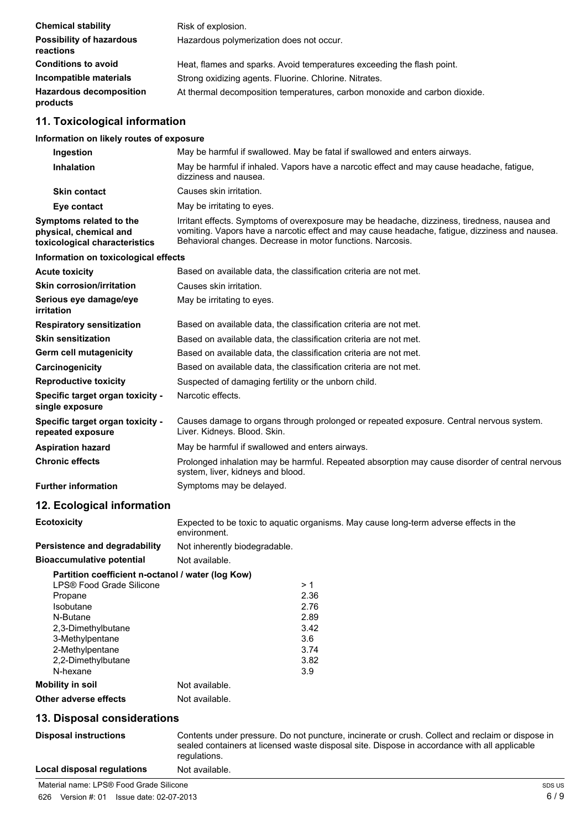| <b>Chemical stability</b>                    | Risk of explosion.                                                         |
|----------------------------------------------|----------------------------------------------------------------------------|
| <b>Possibility of hazardous</b><br>reactions | Hazardous polymerization does not occur.                                   |
| <b>Conditions to avoid</b>                   | Heat, flames and sparks. Avoid temperatures exceeding the flash point.     |
| Incompatible materials                       | Strong oxidizing agents. Fluorine. Chlorine. Nitrates.                     |
| <b>Hazardous decomposition</b><br>products   | At thermal decomposition temperatures, carbon monoxide and carbon dioxide. |

## **11. Toxicological information**

#### **Information on likely routes of exposure**

| Ingestion                                                                          | May be harmful if swallowed. May be fatal if swallowed and enters airways.                                                                                                                                                                                   |
|------------------------------------------------------------------------------------|--------------------------------------------------------------------------------------------------------------------------------------------------------------------------------------------------------------------------------------------------------------|
| <b>Inhalation</b>                                                                  | May be harmful if inhaled. Vapors have a narcotic effect and may cause headache, fatigue,<br>dizziness and nausea.                                                                                                                                           |
| <b>Skin contact</b>                                                                | Causes skin irritation.                                                                                                                                                                                                                                      |
| Eye contact                                                                        | May be irritating to eyes.                                                                                                                                                                                                                                   |
| Symptoms related to the<br>physical, chemical and<br>toxicological characteristics | Irritant effects. Symptoms of overexposure may be headache, dizziness, tiredness, nausea and<br>vomiting. Vapors have a narcotic effect and may cause headache, fatigue, dizziness and nausea.<br>Behavioral changes. Decrease in motor functions. Narcosis. |
| Information on toxicological effects                                               |                                                                                                                                                                                                                                                              |
| <b>Acute toxicity</b>                                                              | Based on available data, the classification criteria are not met.                                                                                                                                                                                            |
| <b>Skin corrosion/irritation</b>                                                   | Causes skin irritation.                                                                                                                                                                                                                                      |
| Serious eye damage/eye<br><b>irritation</b>                                        | May be irritating to eyes.                                                                                                                                                                                                                                   |
| <b>Respiratory sensitization</b>                                                   | Based on available data, the classification criteria are not met.                                                                                                                                                                                            |
| <b>Skin sensitization</b>                                                          | Based on available data, the classification criteria are not met.                                                                                                                                                                                            |
| Germ cell mutagenicity                                                             | Based on available data, the classification criteria are not met.                                                                                                                                                                                            |
| Carcinogenicity                                                                    | Based on available data, the classification criteria are not met.                                                                                                                                                                                            |
| <b>Reproductive toxicity</b>                                                       | Suspected of damaging fertility or the unborn child.                                                                                                                                                                                                         |
| Specific target organ toxicity -<br>single exposure                                | Narcotic effects.                                                                                                                                                                                                                                            |
| Specific target organ toxicity -<br>repeated exposure                              | Causes damage to organs through prolonged or repeated exposure. Central nervous system.<br>Liver. Kidneys. Blood. Skin.                                                                                                                                      |
| <b>Aspiration hazard</b>                                                           | May be harmful if swallowed and enters airways.                                                                                                                                                                                                              |
| <b>Chronic effects</b>                                                             | Prolonged inhalation may be harmful. Repeated absorption may cause disorder of central nervous<br>system, liver, kidneys and blood.                                                                                                                          |
| <b>Further information</b>                                                         | Symptoms may be delayed.                                                                                                                                                                                                                                     |
| 12. Ecological information                                                         |                                                                                                                                                                                                                                                              |
| <b>Ecotoxicity</b>                                                                 | Expected to be toxic to aquatic organisms. May cause long-term adverse effects in the<br>environment.                                                                                                                                                        |
| <b>Persistence and degradability</b>                                               | Not inherently biodegradable.                                                                                                                                                                                                                                |
| <b>Bioaccumulative potential</b>                                                   | Not available.                                                                                                                                                                                                                                               |

| Partition coefficient n-octanol / water (log Kow) |                |      |
|---------------------------------------------------|----------------|------|
| LPS® Food Grade Silicone                          |                | >1   |
| Propane                                           |                | 2.36 |
| Isobutane                                         |                | 2.76 |
| N-Butane                                          |                | 2.89 |
| 2,3-Dimethylbutane                                |                | 3.42 |
| 3-Methylpentane                                   |                | 3.6  |
| 2-Methylpentane                                   |                | 3.74 |
| 2,2-Dimethylbutane                                |                | 3.82 |
| N-hexane                                          |                | 3.9  |
| Mobility in soil                                  | Not available. |      |
| Other adverse effects                             | Not available. |      |
|                                                   |                |      |

#### **13. Disposal considerations**

**ns** Contents under pressure. Do not puncture, incinerate or crush. Collect and reclaim or dispose in sealed containers at licensed waste disposal site. Dispose in accordance with all applicable regulations.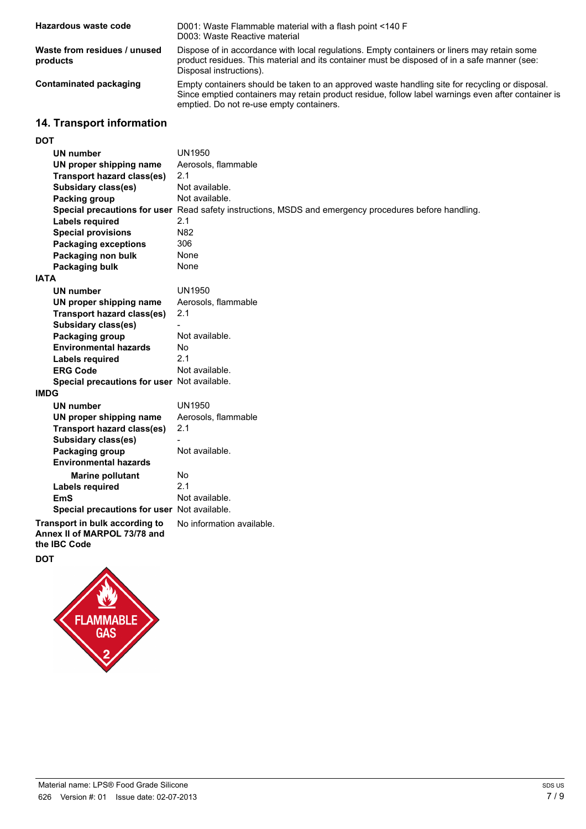| Hazardous waste code                     | D001: Waste Flammable material with a flash point <140 F<br>D003: Waste Reactive material                                                                                                                                                        |
|------------------------------------------|--------------------------------------------------------------------------------------------------------------------------------------------------------------------------------------------------------------------------------------------------|
| Waste from residues / unused<br>products | Dispose of in accordance with local regulations. Empty containers or liners may retain some<br>product residues. This material and its container must be disposed of in a safe manner (see:<br>Disposal instructions).                           |
| Contaminated packaging                   | Empty containers should be taken to an approved waste handling site for recycling or disposal.<br>Since emptied containers may retain product residue, follow label warnings even after container is<br>emptied. Do not re-use empty containers. |

## **14. Transport information**

## **DOT**

| וטע                                                                                   |                                                                                                       |
|---------------------------------------------------------------------------------------|-------------------------------------------------------------------------------------------------------|
| UN number                                                                             | UN1950                                                                                                |
| UN proper shipping name                                                               | Aerosols, flammable                                                                                   |
| <b>Transport hazard class(es)</b>                                                     | 2.1                                                                                                   |
| Subsidary class(es)                                                                   | Not available.                                                                                        |
| Packing group                                                                         | Not available.                                                                                        |
|                                                                                       | Special precautions for user Read safety instructions, MSDS and emergency procedures before handling. |
| <b>Labels required</b>                                                                | 2.1                                                                                                   |
| <b>Special provisions</b>                                                             | N82                                                                                                   |
| <b>Packaging exceptions</b>                                                           | 306                                                                                                   |
| Packaging non bulk                                                                    | None                                                                                                  |
| Packaging bulk                                                                        | None                                                                                                  |
| <b>IATA</b>                                                                           |                                                                                                       |
| UN number                                                                             | <b>UN1950</b>                                                                                         |
| UN proper shipping name                                                               | Aerosols, flammable                                                                                   |
| <b>Transport hazard class(es)</b>                                                     | 2.1                                                                                                   |
| Subsidary class(es)                                                                   |                                                                                                       |
| Packaging group                                                                       | Not available.                                                                                        |
| <b>Environmental hazards</b>                                                          | No                                                                                                    |
| Labels required                                                                       | 2.1                                                                                                   |
| <b>ERG Code</b>                                                                       | Not available.                                                                                        |
| Special precautions for user Not available.                                           |                                                                                                       |
| <b>IMDG</b>                                                                           |                                                                                                       |
| <b>UN number</b>                                                                      | <b>UN1950</b>                                                                                         |
| UN proper shipping name                                                               | Aerosols, flammable                                                                                   |
| <b>Transport hazard class(es)</b>                                                     | 2.1                                                                                                   |
| <b>Subsidary class(es)</b>                                                            |                                                                                                       |
| Packaging group                                                                       | Not available.                                                                                        |
| <b>Environmental hazards</b>                                                          |                                                                                                       |
| <b>Marine pollutant</b>                                                               | No                                                                                                    |
| <b>Labels required</b>                                                                | 2.1                                                                                                   |
| <b>EmS</b>                                                                            | Not available.                                                                                        |
| Special precautions for user Not available.                                           |                                                                                                       |
| Transport in bulk according to<br>Annex II of MARPOL 73/78 and<br>the <b>IBC</b> Code | No information available.                                                                             |
| <b>DOT</b>                                                                            |                                                                                                       |
| △                                                                                     |                                                                                                       |

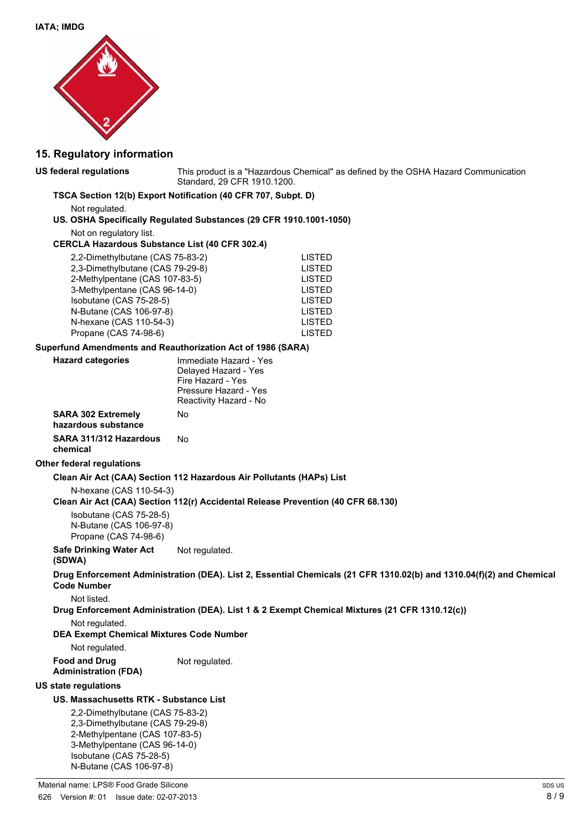

### **15. Regulatory information**

| US federal regulations                                                                                                                                                                                                                            | This product is a "Hazardous Chemical" as defined by the OSHA Hazard Communication<br>Standard, 29 CFR 1910.1200.                    |
|---------------------------------------------------------------------------------------------------------------------------------------------------------------------------------------------------------------------------------------------------|--------------------------------------------------------------------------------------------------------------------------------------|
|                                                                                                                                                                                                                                                   | TSCA Section 12(b) Export Notification (40 CFR 707, Subpt. D)                                                                        |
| Not regulated.                                                                                                                                                                                                                                    | US. OSHA Specifically Regulated Substances (29 CFR 1910.1001-1050)                                                                   |
| Not on regulatory list.<br><b>CERCLA Hazardous Substance List (40 CFR 302.4)</b>                                                                                                                                                                  |                                                                                                                                      |
| 2,2-Dimethylbutane (CAS 75-83-2)<br>2,3-Dimethylbutane (CAS 79-29-8)<br>2-Methylpentane (CAS 107-83-5)<br>3-Methylpentane (CAS 96-14-0)<br>Isobutane (CAS 75-28-5)<br>N-Butane (CAS 106-97-8)<br>N-hexane (CAS 110-54-3)<br>Propane (CAS 74-98-6) | <b>LISTED</b><br><b>LISTED</b><br><b>LISTED</b><br><b>LISTED</b><br><b>LISTED</b><br><b>LISTED</b><br><b>LISTED</b><br><b>LISTED</b> |
| Superfund Amendments and Reauthorization Act of 1986 (SARA)                                                                                                                                                                                       |                                                                                                                                      |
| <b>Hazard categories</b>                                                                                                                                                                                                                          | Immediate Hazard - Yes<br>Delayed Hazard - Yes<br>Fire Hazard - Yes<br>Pressure Hazard - Yes<br>Reactivity Hazard - No               |
| <b>SARA 302 Extremely</b><br>hazardous substance                                                                                                                                                                                                  | No                                                                                                                                   |
| SARA 311/312 Hazardous<br>chemical                                                                                                                                                                                                                | No                                                                                                                                   |
| Other federal regulations                                                                                                                                                                                                                         |                                                                                                                                      |
|                                                                                                                                                                                                                                                   | Clean Air Act (CAA) Section 112 Hazardous Air Pollutants (HAPs) List                                                                 |
| N-hexane (CAS 110-54-3)                                                                                                                                                                                                                           | Clean Air Act (CAA) Section 112(r) Accidental Release Prevention (40 CFR 68.130)                                                     |
| Isobutane (CAS 75-28-5)<br>N-Butane (CAS 106-97-8)<br>Propane (CAS 74-98-6)                                                                                                                                                                       |                                                                                                                                      |
| <b>Safe Drinking Water Act</b><br>(SDWA)                                                                                                                                                                                                          | Not regulated.                                                                                                                       |
| <b>Code Number</b>                                                                                                                                                                                                                                | Drug Enforcement Administration (DEA). List 2, Essential Chemicals (21 CFR 1310.02(b) and 1310.04(f)(2) and Chemical                 |
| Not listed                                                                                                                                                                                                                                        | Drug Enforcement Administration (DEA). List 1 & 2 Exempt Chemical Mixtures (21 CFR 1310.12(c))                                       |
| Not regulated.<br><b>DEA Exempt Chemical Mixtures Code Number</b>                                                                                                                                                                                 |                                                                                                                                      |
| Not regulated.                                                                                                                                                                                                                                    |                                                                                                                                      |
| <b>Food and Drug</b><br><b>Administration (FDA)</b>                                                                                                                                                                                               | Not regulated.                                                                                                                       |
| <b>US state regulations</b>                                                                                                                                                                                                                       |                                                                                                                                      |
| US. Massachusetts RTK - Substance List                                                                                                                                                                                                            |                                                                                                                                      |
| 2,2-Dimethylbutane (CAS 75-83-2)<br>2,3-Dimethylbutane (CAS 79-29-8)<br>2-Methylpentane (CAS 107-83-5)<br>3-Methylpentane (CAS 96-14-0)<br>Isobutane (CAS 75-28-5)                                                                                |                                                                                                                                      |

N-Butane (CAS 106-97-8)